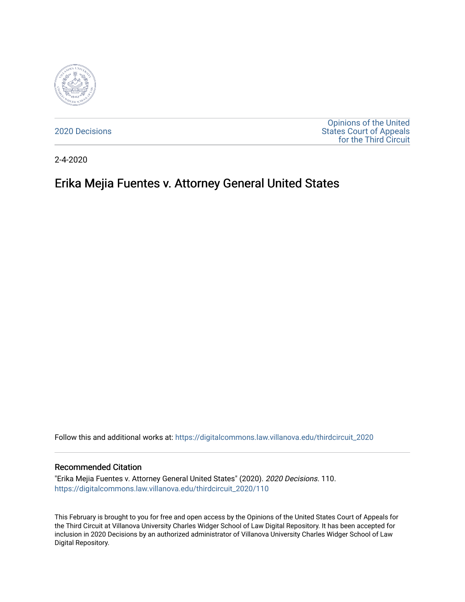

[2020 Decisions](https://digitalcommons.law.villanova.edu/thirdcircuit_2020)

[Opinions of the United](https://digitalcommons.law.villanova.edu/thirdcircuit)  [States Court of Appeals](https://digitalcommons.law.villanova.edu/thirdcircuit)  [for the Third Circuit](https://digitalcommons.law.villanova.edu/thirdcircuit) 

2-4-2020

# Erika Mejia Fuentes v. Attorney General United States

Follow this and additional works at: [https://digitalcommons.law.villanova.edu/thirdcircuit\\_2020](https://digitalcommons.law.villanova.edu/thirdcircuit_2020?utm_source=digitalcommons.law.villanova.edu%2Fthirdcircuit_2020%2F110&utm_medium=PDF&utm_campaign=PDFCoverPages) 

#### Recommended Citation

"Erika Mejia Fuentes v. Attorney General United States" (2020). 2020 Decisions. 110. [https://digitalcommons.law.villanova.edu/thirdcircuit\\_2020/110](https://digitalcommons.law.villanova.edu/thirdcircuit_2020/110?utm_source=digitalcommons.law.villanova.edu%2Fthirdcircuit_2020%2F110&utm_medium=PDF&utm_campaign=PDFCoverPages)

This February is brought to you for free and open access by the Opinions of the United States Court of Appeals for the Third Circuit at Villanova University Charles Widger School of Law Digital Repository. It has been accepted for inclusion in 2020 Decisions by an authorized administrator of Villanova University Charles Widger School of Law Digital Repository.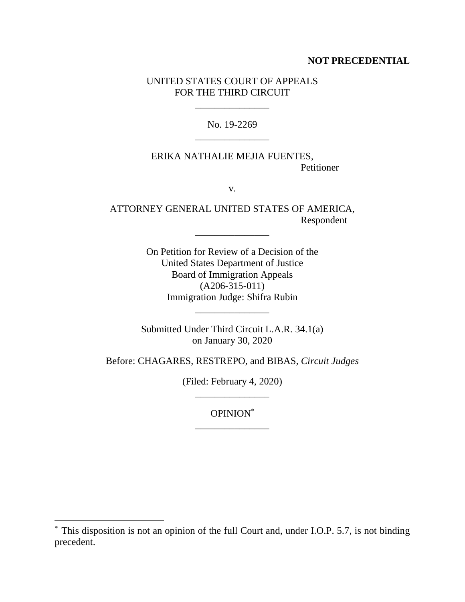### **NOT PRECEDENTIAL**

## UNITED STATES COURT OF APPEALS FOR THE THIRD CIRCUIT

\_\_\_\_\_\_\_\_\_\_\_\_\_\_\_

No. 19-2269 \_\_\_\_\_\_\_\_\_\_\_\_\_\_\_

## ERIKA NATHALIE MEJIA FUENTES, Petitioner

v.

ATTORNEY GENERAL UNITED STATES OF AMERICA, Respondent

\_\_\_\_\_\_\_\_\_\_\_\_\_\_\_

On Petition for Review of a Decision of the United States Department of Justice Board of Immigration Appeals (A206-315-011) Immigration Judge: Shifra Rubin

Submitted Under Third Circuit L.A.R. 34.1(a) on January 30, 2020

\_\_\_\_\_\_\_\_\_\_\_\_\_\_\_

Before: CHAGARES, RESTREPO, and BIBAS, *Circuit Judges*

(Filed: February 4, 2020) \_\_\_\_\_\_\_\_\_\_\_\_\_\_\_

> OPINION\* \_\_\_\_\_\_\_\_\_\_\_\_\_\_\_

 $\overline{a}$ 

<sup>\*</sup> This disposition is not an opinion of the full Court and, under I.O.P. 5.7, is not binding precedent.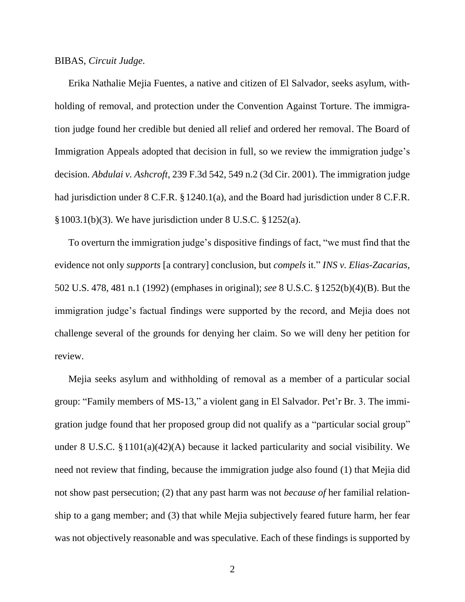#### BIBAS, *Circuit Judge*.

Erika Nathalie Mejia Fuentes, a native and citizen of El Salvador, seeks asylum, withholding of removal, and protection under the Convention Against Torture. The immigration judge found her credible but denied all relief and ordered her removal. The Board of Immigration Appeals adopted that decision in full, so we review the immigration judge's decision. *Abdulai v. Ashcroft*, 239 F.3d 542, 549 n.2 (3d Cir. 2001). The immigration judge had jurisdiction under 8 C.F.R. § 1240.1(a), and the Board had jurisdiction under 8 C.F.R. §1003.1(b)(3). We have jurisdiction under 8 U.S.C. §1252(a).

To overturn the immigration judge's dispositive findings of fact, "we must find that the evidence not only *supports* [a contrary] conclusion, but *compels* it." *INS v. Elias-Zacarias*, 502 U.S. 478, 481 n.1 (1992) (emphases in original); *see* 8 U.S.C. §1252(b)(4)(B). But the immigration judge's factual findings were supported by the record, and Mejia does not challenge several of the grounds for denying her claim. So we will deny her petition for review.

Mejia seeks asylum and withholding of removal as a member of a particular social group: "Family members of MS-13," a violent gang in El Salvador. Pet'r Br. 3. The immigration judge found that her proposed group did not qualify as a "particular social group" under 8 U.S.C. §1101(a)(42)(A) because it lacked particularity and social visibility. We need not review that finding, because the immigration judge also found (1) that Mejia did not show past persecution; (2) that any past harm was not *because of* her familial relationship to a gang member; and (3) that while Mejia subjectively feared future harm, her fear was not objectively reasonable and was speculative. Each of these findings is supported by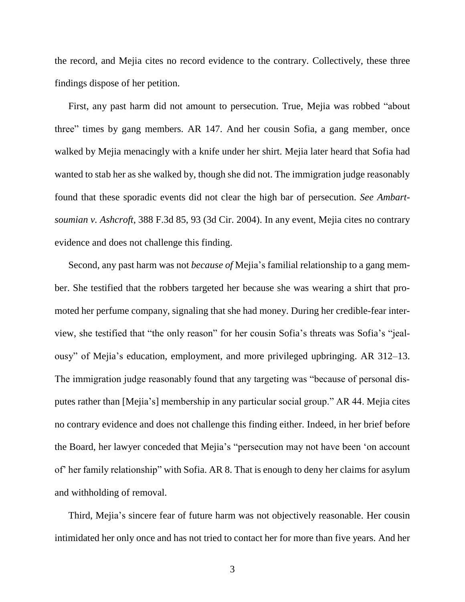the record, and Mejia cites no record evidence to the contrary. Collectively, these three findings dispose of her petition.

First, any past harm did not amount to persecution. True, Mejia was robbed "about three" times by gang members. AR 147. And her cousin Sofia, a gang member, once walked by Mejia menacingly with a knife under her shirt. Mejia later heard that Sofia had wanted to stab her as she walked by, though she did not. The immigration judge reasonably found that these sporadic events did not clear the high bar of persecution. *See Ambartsoumian v. Ashcroft*, 388 F.3d 85, 93 (3d Cir. 2004). In any event, Mejia cites no contrary evidence and does not challenge this finding.

Second, any past harm was not *because of* Mejia's familial relationship to a gang member. She testified that the robbers targeted her because she was wearing a shirt that promoted her perfume company, signaling that she had money. During her credible-fear interview, she testified that "the only reason" for her cousin Sofia's threats was Sofia's "jealousy" of Mejia's education, employment, and more privileged upbringing. AR 312–13. The immigration judge reasonably found that any targeting was "because of personal disputes rather than [Mejia's] membership in any particular social group." AR 44. Mejia cites no contrary evidence and does not challenge this finding either. Indeed, in her brief before the Board, her lawyer conceded that Mejia's "persecution may not have been 'on account of' her family relationship" with Sofia. AR 8. That is enough to deny her claims for asylum and withholding of removal.

Third, Mejia's sincere fear of future harm was not objectively reasonable. Her cousin intimidated her only once and has not tried to contact her for more than five years. And her